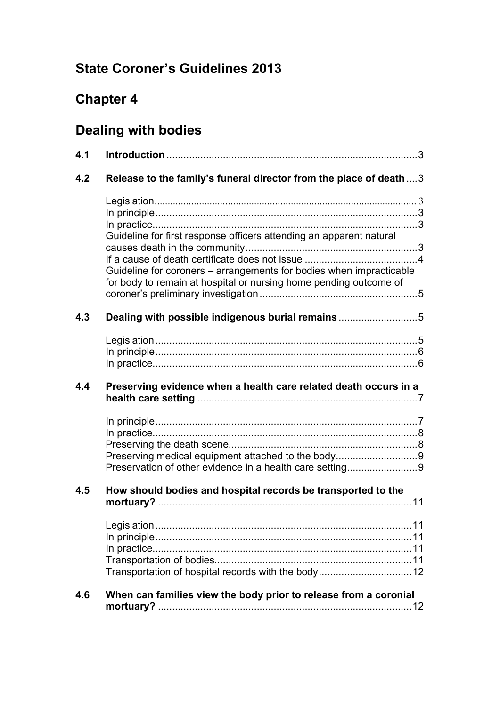# **State Coroner's Guidelines 2013**

# **Chapter 4**

# **Dealing with bodies**

| 4.1 |                                                                                                                                          |
|-----|------------------------------------------------------------------------------------------------------------------------------------------|
| 4.2 | Release to the family's funeral director from the place of death  3                                                                      |
|     |                                                                                                                                          |
|     | Guideline for first response officers attending an apparent natural                                                                      |
|     | Guideline for coroners - arrangements for bodies when impracticable<br>for body to remain at hospital or nursing home pending outcome of |
| 4.3 | Dealing with possible indigenous burial remains5                                                                                         |
|     |                                                                                                                                          |
| 4.4 | Preserving evidence when a health care related death occurs in a                                                                         |
|     |                                                                                                                                          |
|     | Preserving medical equipment attached to the body9                                                                                       |
|     | Preservation of other evidence in a health care setting9                                                                                 |
| 4.5 | How should bodies and hospital records be transported to the                                                                             |
|     | Transportation of hospital records with the body 12                                                                                      |
| 4.6 | When can families view the body prior to release from a coronial                                                                         |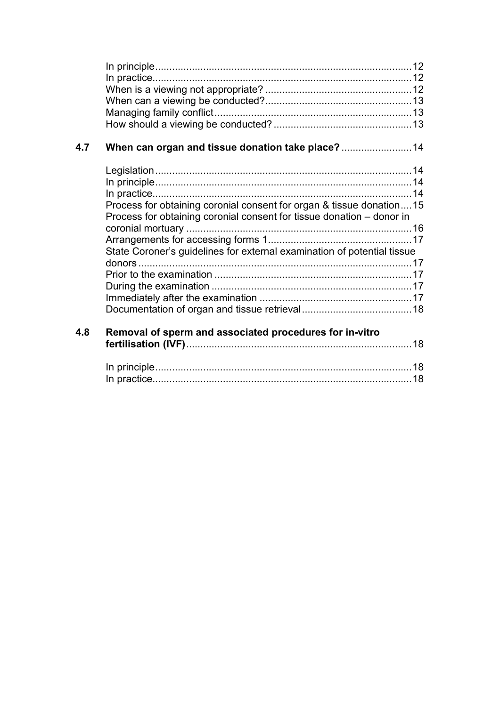| 4.7 | When can organ and tissue donation take place?  14                                                                                            |  |
|-----|-----------------------------------------------------------------------------------------------------------------------------------------------|--|
|     |                                                                                                                                               |  |
|     |                                                                                                                                               |  |
|     |                                                                                                                                               |  |
|     | Process for obtaining coronial consent for organ & tissue donation15<br>Process for obtaining coronial consent for tissue donation - donor in |  |
|     |                                                                                                                                               |  |
|     |                                                                                                                                               |  |
|     | State Coroner's guidelines for external examination of potential tissue                                                                       |  |
|     |                                                                                                                                               |  |
|     |                                                                                                                                               |  |
|     |                                                                                                                                               |  |
|     |                                                                                                                                               |  |
| 4.8 | Removal of sperm and associated procedures for in-vitro                                                                                       |  |
|     |                                                                                                                                               |  |
|     |                                                                                                                                               |  |
|     |                                                                                                                                               |  |
|     |                                                                                                                                               |  |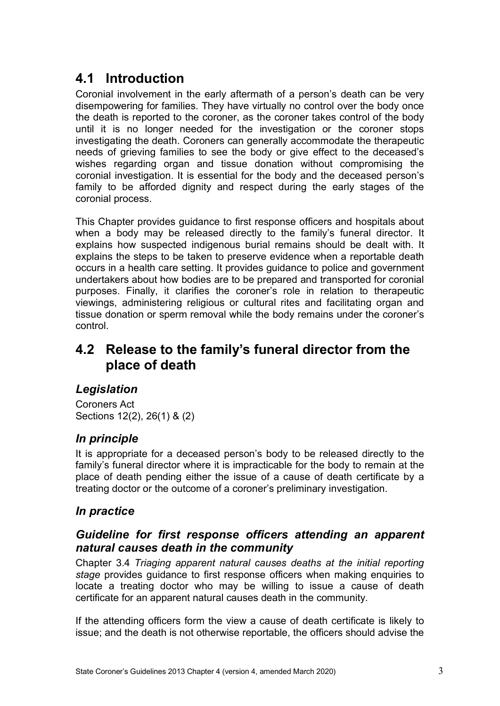## <span id="page-2-0"></span>**4.1 Introduction**

Coronial involvement in the early aftermath of a person's death can be very disempowering for families. They have virtually no control over the body once the death is reported to the coroner, as the coroner takes control of the body until it is no longer needed for the investigation or the coroner stops investigating the death. Coroners can generally accommodate the therapeutic needs of grieving families to see the body or give effect to the deceased's wishes regarding organ and tissue donation without compromising the coronial investigation. It is essential for the body and the deceased person's family to be afforded dignity and respect during the early stages of the coronial process.

This Chapter provides guidance to first response officers and hospitals about when a body may be released directly to the family's funeral director. It explains how suspected indigenous burial remains should be dealt with. It explains the steps to be taken to preserve evidence when a reportable death occurs in a health care setting. It provides guidance to police and government undertakers about how bodies are to be prepared and transported for coronial purposes. Finally, it clarifies the coroner's role in relation to therapeutic viewings, administering religious or cultural rites and facilitating organ and tissue donation or sperm removal while the body remains under the coroner's control.

## <span id="page-2-1"></span>**4.2 Release to the family's funeral director from the place of death**

## <span id="page-2-2"></span>*Legislation*

Coroners Act Sections 12(2), 26(1) & (2)

## *In principle*

It is appropriate for a deceased person's body to be released directly to the family's funeral director where it is impracticable for the body to remain at the place of death pending either the issue of a cause of death certificate by a treating doctor or the outcome of a coroner's preliminary investigation.

## <span id="page-2-3"></span>*In practice*

## <span id="page-2-4"></span>*Guideline for first response officers attending an apparent natural causes death in the community*

Chapter 3.4 *Triaging apparent natural causes deaths at the initial reporting stage* provides guidance to first response officers when making enquiries to locate a treating doctor who may be willing to issue a cause of death certificate for an apparent natural causes death in the community.

If the attending officers form the view a cause of death certificate is likely to issue; and the death is not otherwise reportable, the officers should advise the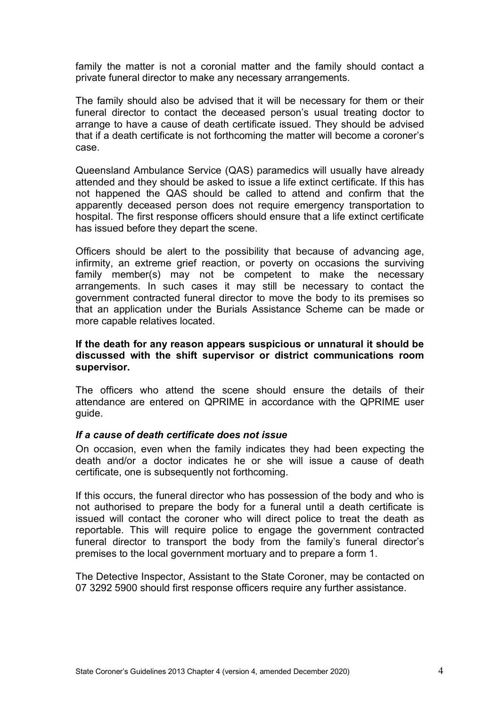family the matter is not a coronial matter and the family should contact a private funeral director to make any necessary arrangements.

The family should also be advised that it will be necessary for them or their funeral director to contact the deceased person's usual treating doctor to arrange to have a cause of death certificate issued. They should be advised that if a death certificate is not forthcoming the matter will become a coroner's case.

Queensland Ambulance Service (QAS) paramedics will usually have already attended and they should be asked to issue a life extinct certificate. If this has not happened the QAS should be called to attend and confirm that the apparently deceased person does not require emergency transportation to hospital. The first response officers should ensure that a life extinct certificate has issued before they depart the scene.

Officers should be alert to the possibility that because of advancing age, infirmity, an extreme grief reaction, or poverty on occasions the surviving family member(s) may not be competent to make the necessary arrangements. In such cases it may still be necessary to contact the government contracted funeral director to move the body to its premises so that an application under the Burials Assistance Scheme can be made or more capable relatives located.

#### **If the death for any reason appears suspicious or unnatural it should be discussed with the shift supervisor or district communications room supervisor.**

The officers who attend the scene should ensure the details of their attendance are entered on QPRIME in accordance with the QPRIME user guide.

#### <span id="page-3-0"></span>*If a cause of death certificate does not issue*

On occasion, even when the family indicates they had been expecting the death and/or a doctor indicates he or she will issue a cause of death certificate, one is subsequently not forthcoming.

If this occurs, the funeral director who has possession of the body and who is not authorised to prepare the body for a funeral until a death certificate is issued will contact the coroner who will direct police to treat the death as reportable. This will require police to engage the government contracted funeral director to transport the body from the family's funeral director's premises to the local government mortuary and to prepare a form 1.

The Detective Inspector, Assistant to the State Coroner, may be contacted on 07 3292 5900 should first response officers require any further assistance.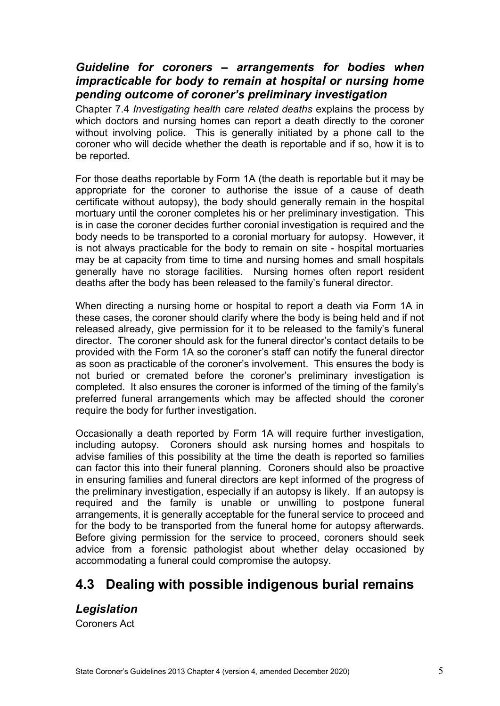## <span id="page-4-0"></span>*Guideline for coroners – arrangements for bodies when impracticable for body to remain at hospital or nursing home pending outcome of coroner's preliminary investigation*

Chapter 7.4 *Investigating health care related deaths* explains the process by which doctors and nursing homes can report a death directly to the coroner without involving police. This is generally initiated by a phone call to the coroner who will decide whether the death is reportable and if so, how it is to be reported.

For those deaths reportable by Form 1A (the death is reportable but it may be appropriate for the coroner to authorise the issue of a cause of death certificate without autopsy), the body should generally remain in the hospital mortuary until the coroner completes his or her preliminary investigation. This is in case the coroner decides further coronial investigation is required and the body needs to be transported to a coronial mortuary for autopsy. However, it is not always practicable for the body to remain on site - hospital mortuaries may be at capacity from time to time and nursing homes and small hospitals generally have no storage facilities. Nursing homes often report resident deaths after the body has been released to the family's funeral director.

When directing a nursing home or hospital to report a death via Form 1A in these cases, the coroner should clarify where the body is being held and if not released already, give permission for it to be released to the family's funeral director. The coroner should ask for the funeral director's contact details to be provided with the Form 1A so the coroner's staff can notify the funeral director as soon as practicable of the coroner's involvement. This ensures the body is not buried or cremated before the coroner's preliminary investigation is completed. It also ensures the coroner is informed of the timing of the family's preferred funeral arrangements which may be affected should the coroner require the body for further investigation.

Occasionally a death reported by Form 1A will require further investigation, including autopsy. Coroners should ask nursing homes and hospitals to advise families of this possibility at the time the death is reported so families can factor this into their funeral planning. Coroners should also be proactive in ensuring families and funeral directors are kept informed of the progress of the preliminary investigation, especially if an autopsy is likely. If an autopsy is required and the family is unable or unwilling to postpone funeral arrangements, it is generally acceptable for the funeral service to proceed and for the body to be transported from the funeral home for autopsy afterwards. Before giving permission for the service to proceed, coroners should seek advice from a forensic pathologist about whether delay occasioned by accommodating a funeral could compromise the autopsy.

## <span id="page-4-1"></span>**4.3 Dealing with possible indigenous burial remains**

## <span id="page-4-2"></span>*Legislation*

Coroners Act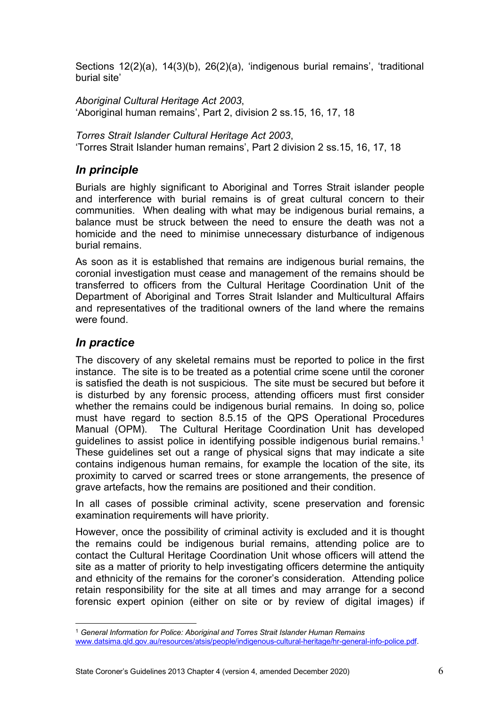Sections 12(2)(a), 14(3)(b), 26(2)(a), 'indigenous burial remains', 'traditional burial site'

*Aboriginal Cultural Heritage Act 2003*, 'Aboriginal human remains', Part 2, division 2 ss.15, 16, 17, 18

*Torres Strait Islander Cultural Heritage Act 2003*, 'Torres Strait Islander human remains', Part 2 division 2 ss.15, 16, 17, 18

## <span id="page-5-0"></span>*In principle*

Burials are highly significant to Aboriginal and Torres Strait islander people and interference with burial remains is of great cultural concern to their communities. When dealing with what may be indigenous burial remains, a balance must be struck between the need to ensure the death was not a homicide and the need to minimise unnecessary disturbance of indigenous burial remains.

As soon as it is established that remains are indigenous burial remains, the coronial investigation must cease and management of the remains should be transferred to officers from the Cultural Heritage Coordination Unit of the Department of Aboriginal and Torres Strait Islander and Multicultural Affairs and representatives of the traditional owners of the land where the remains were found.

## <span id="page-5-1"></span>*In practice*

The discovery of any skeletal remains must be reported to police in the first instance. The site is to be treated as a potential crime scene until the coroner is satisfied the death is not suspicious. The site must be secured but before it is disturbed by any forensic process, attending officers must first consider whether the remains could be indigenous burial remains. In doing so, police must have regard to section 8.5.15 of the QPS Operational Procedures Manual (OPM). The Cultural Heritage Coordination Unit has developed guidelines to assist police in identifying possible indigenous burial remains.<sup>[1](#page-5-2)</sup> These guidelines set out a range of physical signs that may indicate a site contains indigenous human remains, for example the location of the site, its proximity to carved or scarred trees or stone arrangements, the presence of grave artefacts, how the remains are positioned and their condition.

In all cases of possible criminal activity, scene preservation and forensic examination requirements will have priority.

However, once the possibility of criminal activity is excluded and it is thought the remains could be indigenous burial remains, attending police are to contact the Cultural Heritage Coordination Unit whose officers will attend the site as a matter of priority to help investigating officers determine the antiquity and ethnicity of the remains for the coroner's consideration. Attending police retain responsibility for the site at all times and may arrange for a second forensic expert opinion (either on site or by review of digital images) if

<span id="page-5-2"></span><sup>1</sup> *General Information for Police: Aboriginal and Torres Strait Islander Human Remains* [www.datsima.qld.gov.au/resources/atsis/people/indigenous-cultural-heritage/hr-general-info-police.pdf.](http://www.datsima.qld.gov.au/resources/atsis/people/indigenous-cultural-heritage/hr-general-info-police.pdf)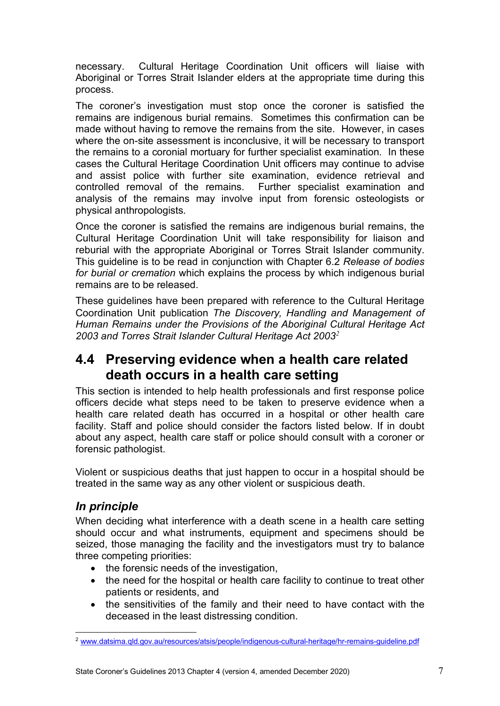necessary. Cultural Heritage Coordination Unit officers will liaise with Aboriginal or Torres Strait Islander elders at the appropriate time during this process.

The coroner's investigation must stop once the coroner is satisfied the remains are indigenous burial remains. Sometimes this confirmation can be made without having to remove the remains from the site. However, in cases where the on-site assessment is inconclusive, it will be necessary to transport the remains to a coronial mortuary for further specialist examination. In these cases the Cultural Heritage Coordination Unit officers may continue to advise and assist police with further site examination, evidence retrieval and controlled removal of the remains. Further specialist examination and analysis of the remains may involve input from forensic osteologists or physical anthropologists.

Once the coroner is satisfied the remains are indigenous burial remains, the Cultural Heritage Coordination Unit will take responsibility for liaison and reburial with the appropriate Aboriginal or Torres Strait Islander community. This guideline is to be read in conjunction with Chapter 6.2 *Release of bodies for burial or cremation* which explains the process by which indigenous burial remains are to be released.

These guidelines have been prepared with reference to the Cultural Heritage Coordination Unit publication *The Discovery, Handling and Management of Human Remains under the Provisions of the Aboriginal Cultural Heritage Act 2003 and Torres Strait Islander Cultural Heritage Act 2003[2](#page-6-2)*

## <span id="page-6-0"></span>**4.4 Preserving evidence when a health care related death occurs in a health care setting**

This section is intended to help health professionals and first response police officers decide what steps need to be taken to preserve evidence when a health care related death has occurred in a hospital or other health care facility. Staff and police should consider the factors listed below. If in doubt about any aspect, health care staff or police should consult with a coroner or forensic pathologist.

Violent or suspicious deaths that just happen to occur in a hospital should be treated in the same way as any other violent or suspicious death.

## <span id="page-6-1"></span>*In principle*

When deciding what interference with a death scene in a health care setting should occur and what instruments, equipment and specimens should be seized, those managing the facility and the investigators must try to balance three competing priorities:

- the forensic needs of the investigation,
- the need for the hospital or health care facility to continue to treat other patients or residents, and
- the sensitivities of the family and their need to have contact with the deceased in the least distressing condition.

<span id="page-6-2"></span><sup>2</sup> [www.datsima.qld.gov.au/resources/atsis/people/indigenous-cultural-heritage/hr-remains-guideline.pdf](http://www.datsima.qld.gov.au/resources/atsis/people/indigenous-cultural-heritage/hr-remains-guideline.pdf)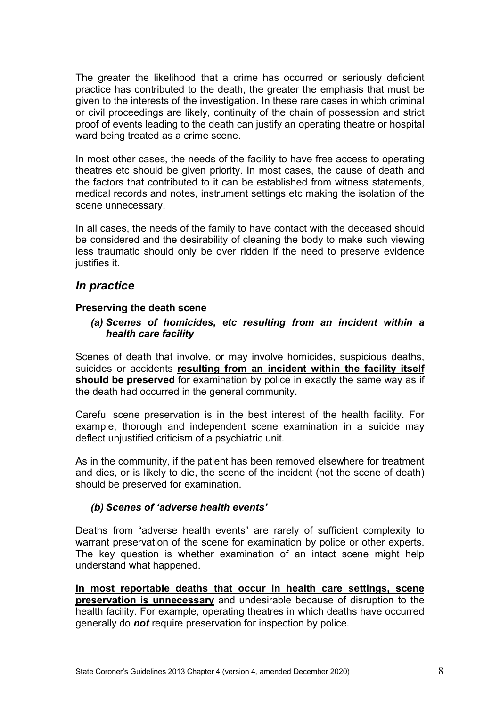The greater the likelihood that a crime has occurred or seriously deficient practice has contributed to the death, the greater the emphasis that must be given to the interests of the investigation. In these rare cases in which criminal or civil proceedings are likely, continuity of the chain of possession and strict proof of events leading to the death can justify an operating theatre or hospital ward being treated as a crime scene.

In most other cases, the needs of the facility to have free access to operating theatres etc should be given priority. In most cases, the cause of death and the factors that contributed to it can be established from witness statements, medical records and notes, instrument settings etc making the isolation of the scene unnecessary.

In all cases, the needs of the family to have contact with the deceased should be considered and the desirability of cleaning the body to make such viewing less traumatic should only be over ridden if the need to preserve evidence justifies it.

### <span id="page-7-0"></span>*In practice*

#### <span id="page-7-1"></span>**Preserving the death scene**

#### *(a) Scenes of homicides, etc resulting from an incident within a health care facility*

Scenes of death that involve, or may involve homicides, suspicious deaths, suicides or accidents **resulting from an incident within the facility itself should be preserved** for examination by police in exactly the same way as if the death had occurred in the general community.

Careful scene preservation is in the best interest of the health facility. For example, thorough and independent scene examination in a suicide may deflect unjustified criticism of a psychiatric unit.

As in the community, if the patient has been removed elsewhere for treatment and dies, or is likely to die, the scene of the incident (not the scene of death) should be preserved for examination.

#### *(b) Scenes of 'adverse health events'*

Deaths from "adverse health events" are rarely of sufficient complexity to warrant preservation of the scene for examination by police or other experts. The key question is whether examination of an intact scene might help understand what happened.

**In most reportable deaths that occur in health care settings, scene preservation is unnecessary** and undesirable because of disruption to the health facility. For example, operating theatres in which deaths have occurred generally do *not* require preservation for inspection by police.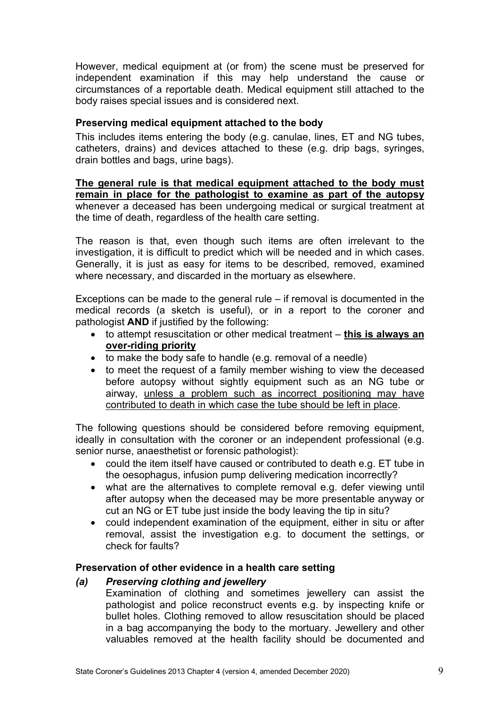However, medical equipment at (or from) the scene must be preserved for independent examination if this may help understand the cause or circumstances of a reportable death. Medical equipment still attached to the body raises special issues and is considered next.

#### <span id="page-8-0"></span>**Preserving medical equipment attached to the body**

This includes items entering the body (e.g. canulae, lines, ET and NG tubes, catheters, drains) and devices attached to these (e.g. drip bags, syringes, drain bottles and bags, urine bags).

**The general rule is that medical equipment attached to the body must remain in place for the pathologist to examine as part of the autopsy** whenever a deceased has been undergoing medical or surgical treatment at the time of death, regardless of the health care setting.

The reason is that, even though such items are often irrelevant to the investigation, it is difficult to predict which will be needed and in which cases. Generally, it is just as easy for items to be described, removed, examined where necessary, and discarded in the mortuary as elsewhere.

Exceptions can be made to the general rule – if removal is documented in the medical records (a sketch is useful), or in a report to the coroner and pathologist **AND** if justified by the following:

- to attempt resuscitation or other medical treatment **this is always an over-riding priority**
- to make the body safe to handle (e.g. removal of a needle)
- to meet the request of a family member wishing to view the deceased before autopsy without sightly equipment such as an NG tube or airway, unless a problem such as incorrect positioning may have contributed to death in which case the tube should be left in place.

The following questions should be considered before removing equipment, ideally in consultation with the coroner or an independent professional (e.g. senior nurse, anaesthetist or forensic pathologist):

- could the item itself have caused or contributed to death e.g. ET tube in the oesophagus, infusion pump delivering medication incorrectly?
- what are the alternatives to complete removal e.g. defer viewing until after autopsy when the deceased may be more presentable anyway or cut an NG or ET tube just inside the body leaving the tip in situ?
- could independent examination of the equipment, either in situ or after removal, assist the investigation e.g. to document the settings, or check for faults?

#### <span id="page-8-1"></span>**Preservation of other evidence in a health care setting**

#### *(a) Preserving clothing and jewellery*

Examination of clothing and sometimes jewellery can assist the pathologist and police reconstruct events e.g. by inspecting knife or bullet holes. Clothing removed to allow resuscitation should be placed in a bag accompanying the body to the mortuary. Jewellery and other valuables removed at the health facility should be documented and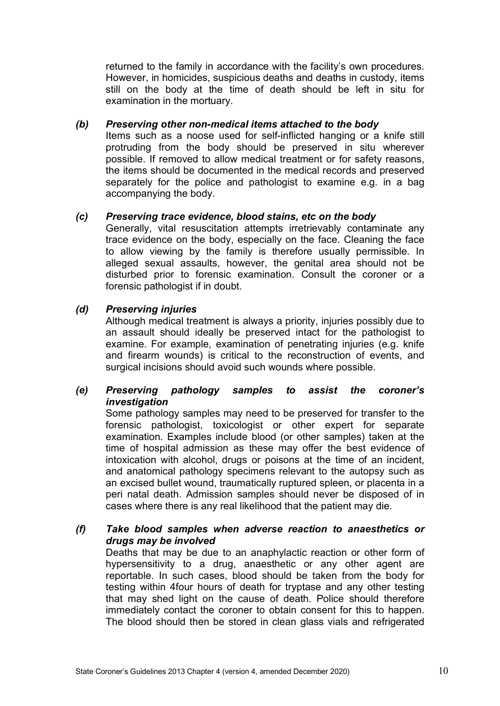returned to the family in accordance with the facility's own procedures. However, in homicides, suspicious deaths and deaths in custody, items still on the body at the time of death should be left in situ for examination in the mortuary.

### *(b) Preserving other non-medical items attached to the body*

Items such as a noose used for self-inflicted hanging or a knife still protruding from the body should be preserved in situ wherever possible. If removed to allow medical treatment or for safety reasons, the items should be documented in the medical records and preserved separately for the police and pathologist to examine e.g. in a bag accompanying the body.

#### *(c) Preserving trace evidence, blood stains, etc on the body*

Generally, vital resuscitation attempts irretrievably contaminate any trace evidence on the body, especially on the face. Cleaning the face to allow viewing by the family is therefore usually permissible. In alleged sexual assaults, however, the genital area should not be disturbed prior to forensic examination. Consult the coroner or a forensic pathologist if in doubt.

#### *(d) Preserving injuries*

Although medical treatment is always a priority, injuries possibly due to an assault should ideally be preserved intact for the pathologist to examine. For example, examination of penetrating injuries (e.g. knife and firearm wounds) is critical to the reconstruction of events, and surgical incisions should avoid such wounds where possible.

#### *(e) Preserving pathology samples to assist the coroner's investigation*

Some pathology samples may need to be preserved for transfer to the forensic pathologist, toxicologist or other expert for separate examination. Examples include blood (or other samples) taken at the time of hospital admission as these may offer the best evidence of intoxication with alcohol, drugs or poisons at the time of an incident, and anatomical pathology specimens relevant to the autopsy such as an excised bullet wound, traumatically ruptured spleen, or placenta in a peri natal death. Admission samples should never be disposed of in cases where there is any real likelihood that the patient may die.

#### *(f) Take blood samples when adverse reaction to anaesthetics or drugs may be involved*

Deaths that may be due to an anaphylactic reaction or other form of hypersensitivity to a drug, anaesthetic or any other agent are reportable. In such cases, blood should be taken from the body for testing within 4four hours of death for tryptase and any other testing that may shed light on the cause of death. Police should therefore immediately contact the coroner to obtain consent for this to happen. The blood should then be stored in clean glass vials and refrigerated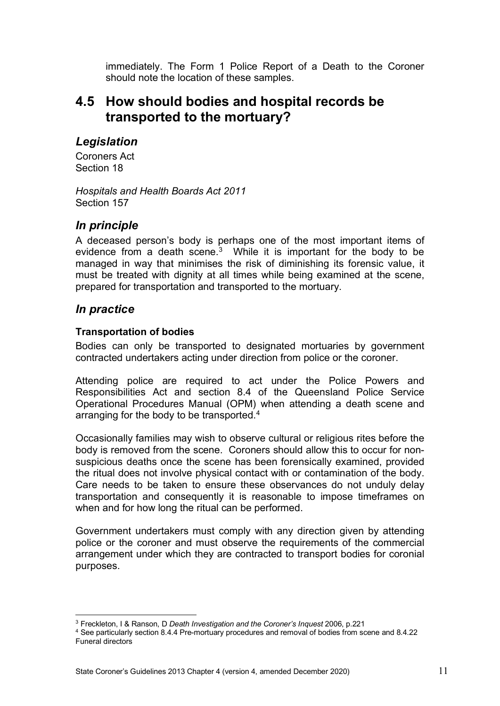immediately. The Form 1 Police Report of a Death to the Coroner should note the location of these samples.

## <span id="page-10-0"></span>**4.5 How should bodies and hospital records be transported to the mortuary?**

## <span id="page-10-1"></span>*Legislation*

Coroners Act Section 18

*Hospitals and Health Boards Act 2011* Section 157

## <span id="page-10-2"></span>*In principle*

A deceased person's body is perhaps one of the most important items of evidence from a death scene.<sup>3</sup> While it is important for the body to be managed in way that minimises the risk of diminishing its forensic value, it must be treated with dignity at all times while being examined at the scene, prepared for transportation and transported to the mortuary.

## <span id="page-10-3"></span>*In practice*

### <span id="page-10-4"></span>**Transportation of bodies**

Bodies can only be transported to designated mortuaries by government contracted undertakers acting under direction from police or the coroner.

Attending police are required to act under the Police Powers and Responsibilities Act and section 8.4 of the Queensland Police Service Operational Procedures Manual (OPM) when attending a death scene and arranging for the body to be transported.<sup>4</sup>

Occasionally families may wish to observe cultural or religious rites before the body is removed from the scene. Coroners should allow this to occur for nonsuspicious deaths once the scene has been forensically examined, provided the ritual does not involve physical contact with or contamination of the body. Care needs to be taken to ensure these observances do not unduly delay transportation and consequently it is reasonable to impose timeframes on when and for how long the ritual can be performed.

Government undertakers must comply with any direction given by attending police or the coroner and must observe the requirements of the commercial arrangement under which they are contracted to transport bodies for coronial purposes.

<span id="page-10-5"></span><sup>3</sup> Freckleton, I & Ranson, D *Death Investigation and the Coroner's Inquest* 2006, p.221

<span id="page-10-6"></span><sup>4</sup> See particularly section 8.4.4 Pre-mortuary procedures and removal of bodies from scene and 8.4.22 Funeral directors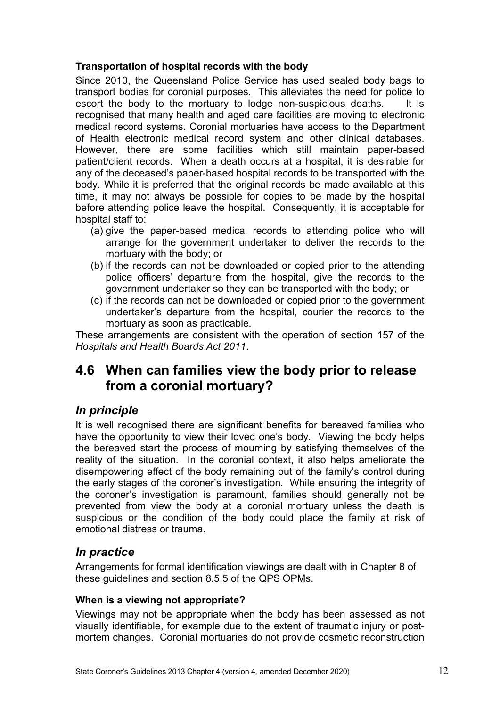### <span id="page-11-0"></span>**Transportation of hospital records with the body**

Since 2010, the Queensland Police Service has used sealed body bags to transport bodies for coronial purposes. This alleviates the need for police to escort the body to the mortuary to lodge non-suspicious deaths. It is recognised that many health and aged care facilities are moving to electronic medical record systems. Coronial mortuaries have access to the Department of Health electronic medical record system and other clinical databases. However, there are some facilities which still maintain paper-based patient/client records. When a death occurs at a hospital, it is desirable for any of the deceased's paper-based hospital records to be transported with the body. While it is preferred that the original records be made available at this time, it may not always be possible for copies to be made by the hospital before attending police leave the hospital. Consequently, it is acceptable for hospital staff to:

- (a) give the paper-based medical records to attending police who will arrange for the government undertaker to deliver the records to the mortuary with the body; or
- (b) if the records can not be downloaded or copied prior to the attending police officers' departure from the hospital, give the records to the government undertaker so they can be transported with the body; or
- (c) if the records can not be downloaded or copied prior to the government undertaker's departure from the hospital, courier the records to the mortuary as soon as practicable.

These arrangements are consistent with the operation of section 157 of the *Hospitals and Health Boards Act 2011*.

## <span id="page-11-1"></span>**4.6 When can families view the body prior to release from a coronial mortuary?**

## <span id="page-11-2"></span>*In principle*

It is well recognised there are significant benefits for bereaved families who have the opportunity to view their loved one's body. Viewing the body helps the bereaved start the process of mourning by satisfying themselves of the reality of the situation. In the coronial context, it also helps ameliorate the disempowering effect of the body remaining out of the family's control during the early stages of the coroner's investigation. While ensuring the integrity of the coroner's investigation is paramount, families should generally not be prevented from view the body at a coronial mortuary unless the death is suspicious or the condition of the body could place the family at risk of emotional distress or trauma.

### <span id="page-11-3"></span>*In practice*

Arrangements for formal identification viewings are dealt with in Chapter 8 of these guidelines and section 8.5.5 of the QPS OPMs.

#### <span id="page-11-4"></span>**When is a viewing not appropriate?**

Viewings may not be appropriate when the body has been assessed as not visually identifiable, for example due to the extent of traumatic injury or postmortem changes. Coronial mortuaries do not provide cosmetic reconstruction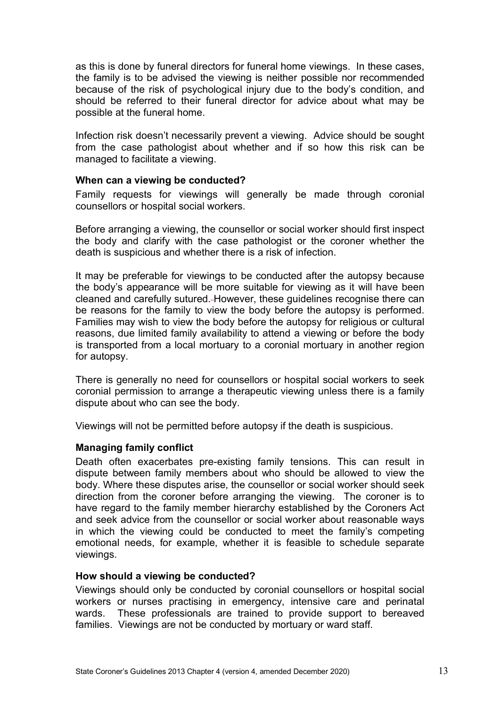as this is done by funeral directors for funeral home viewings. In these cases, the family is to be advised the viewing is neither possible nor recommended because of the risk of psychological injury due to the body's condition, and should be referred to their funeral director for advice about what may be possible at the funeral home.

Infection risk doesn't necessarily prevent a viewing. Advice should be sought from the case pathologist about whether and if so how this risk can be managed to facilitate a viewing.

#### <span id="page-12-0"></span>**When can a viewing be conducted?**

Family requests for viewings will generally be made through coronial counsellors or hospital social workers.

Before arranging a viewing, the counsellor or social worker should first inspect the body and clarify with the case pathologist or the coroner whether the death is suspicious and whether there is a risk of infection.

It may be preferable for viewings to be conducted after the autopsy because the body's appearance will be more suitable for viewing as it will have been cleaned and carefully sutured. However, these guidelines recognise there can be reasons for the family to view the body before the autopsy is performed. Families may wish to view the body before the autopsy for religious or cultural reasons, due limited family availability to attend a viewing or before the body is transported from a local mortuary to a coronial mortuary in another region for autopsy.

There is generally no need for counsellors or hospital social workers to seek coronial permission to arrange a therapeutic viewing unless there is a family dispute about who can see the body.

<span id="page-12-1"></span>Viewings will not be permitted before autopsy if the death is suspicious.

#### **Managing family conflict**

Death often exacerbates pre-existing family tensions. This can result in dispute between family members about who should be allowed to view the body. Where these disputes arise, the counsellor or social worker should seek direction from the coroner before arranging the viewing. The coroner is to have regard to the family member hierarchy established by the Coroners Act and seek advice from the counsellor or social worker about reasonable ways in which the viewing could be conducted to meet the family's competing emotional needs, for example, whether it is feasible to schedule separate viewings.

#### <span id="page-12-2"></span>**How should a viewing be conducted?**

Viewings should only be conducted by coronial counsellors or hospital social workers or nurses practising in emergency, intensive care and perinatal wards. These professionals are trained to provide support to bereaved families. Viewings are not be conducted by mortuary or ward staff.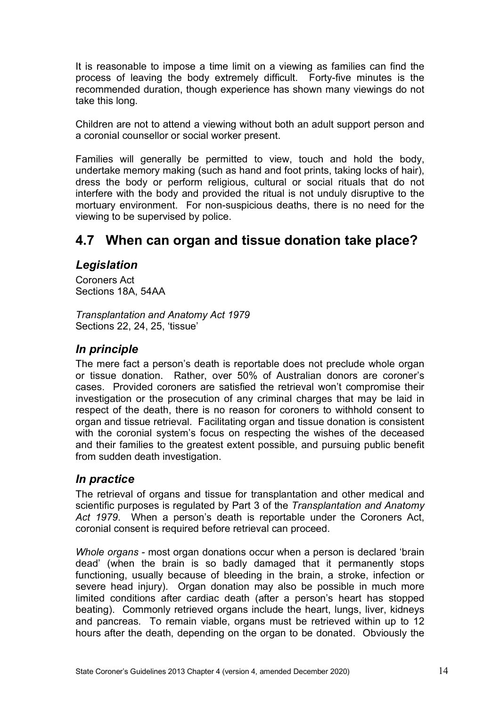It is reasonable to impose a time limit on a viewing as families can find the process of leaving the body extremely difficult. Forty-five minutes is the recommended duration, though experience has shown many viewings do not take this long.

Children are not to attend a viewing without both an adult support person and a coronial counsellor or social worker present.

Families will generally be permitted to view, touch and hold the body, undertake memory making (such as hand and foot prints, taking locks of hair), dress the body or perform religious, cultural or social rituals that do not interfere with the body and provided the ritual is not unduly disruptive to the mortuary environment. For non-suspicious deaths, there is no need for the viewing to be supervised by police.

## <span id="page-13-0"></span>**4.7 When can organ and tissue donation take place?**

## <span id="page-13-1"></span>*Legislation*

Coroners Act Sections 18A, 54AA

*Transplantation and Anatomy Act 1979* Sections 22, 24, 25, 'tissue'

## <span id="page-13-2"></span>*In principle*

The mere fact a person's death is reportable does not preclude whole organ or tissue donation. Rather, over 50% of Australian donors are coroner's cases. Provided coroners are satisfied the retrieval won't compromise their investigation or the prosecution of any criminal charges that may be laid in respect of the death, there is no reason for coroners to withhold consent to organ and tissue retrieval. Facilitating organ and tissue donation is consistent with the coronial system's focus on respecting the wishes of the deceased and their families to the greatest extent possible, and pursuing public benefit from sudden death investigation.

## <span id="page-13-3"></span>*In practice*

The retrieval of organs and tissue for transplantation and other medical and scientific purposes is regulated by Part 3 of the *Transplantation and Anatomy Act 1979*. When a person's death is reportable under the Coroners Act, coronial consent is required before retrieval can proceed.

*Whole organs -* most organ donations occur when a person is declared 'brain dead' (when the brain is so badly damaged that it permanently stops functioning, usually because of bleeding in the brain, a stroke, infection or severe head injury). Organ donation may also be possible in much more limited conditions after cardiac death (after a person's heart has stopped beating). Commonly retrieved organs include the heart, lungs, liver, kidneys and pancreas. To remain viable, organs must be retrieved within up to 12 hours after the death, depending on the organ to be donated. Obviously the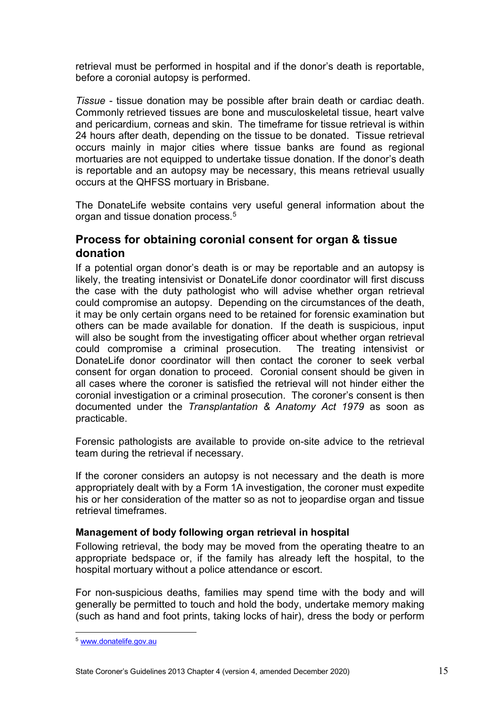retrieval must be performed in hospital and if the donor's death is reportable, before a coronial autopsy is performed.

*Tissue* - tissue donation may be possible after brain death or cardiac death. Commonly retrieved tissues are bone and musculoskeletal tissue, heart valve and pericardium, corneas and skin. The timeframe for tissue retrieval is within 24 hours after death, depending on the tissue to be donated. Tissue retrieval occurs mainly in major cities where tissue banks are found as regional mortuaries are not equipped to undertake tissue donation. If the donor's death is reportable and an autopsy may be necessary, this means retrieval usually occurs at the QHFSS mortuary in Brisbane.

The DonateLife website contains very useful general information about the organ and tissue donation process.[5](#page-14-1)

## <span id="page-14-0"></span>**Process for obtaining coronial consent for organ & tissue donation**

If a potential organ donor's death is or may be reportable and an autopsy is likely, the treating intensivist or DonateLife donor coordinator will first discuss the case with the duty pathologist who will advise whether organ retrieval could compromise an autopsy. Depending on the circumstances of the death, it may be only certain organs need to be retained for forensic examination but others can be made available for donation. If the death is suspicious, input will also be sought from the investigating officer about whether organ retrieval could compromise a criminal prosecution. The treating intensivist or DonateLife donor coordinator will then contact the coroner to seek verbal consent for organ donation to proceed. Coronial consent should be given in all cases where the coroner is satisfied the retrieval will not hinder either the coronial investigation or a criminal prosecution. The coroner's consent is then documented under the *Transplantation & Anatomy Act 1979* as soon as practicable.

Forensic pathologists are available to provide on-site advice to the retrieval team during the retrieval if necessary.

If the coroner considers an autopsy is not necessary and the death is more appropriately dealt with by a Form 1A investigation, the coroner must expedite his or her consideration of the matter so as not to jeopardise organ and tissue retrieval timeframes.

#### **Management of body following organ retrieval in hospital**

Following retrieval, the body may be moved from the operating theatre to an appropriate bedspace or, if the family has already left the hospital, to the hospital mortuary without a police attendance or escort.

For non-suspicious deaths, families may spend time with the body and will generally be permitted to touch and hold the body, undertake memory making (such as hand and foot prints, taking locks of hair), dress the body or perform

<span id="page-14-1"></span><sup>5</sup> [www.donatelife.gov.au](http://www.donatelife.gov.au/)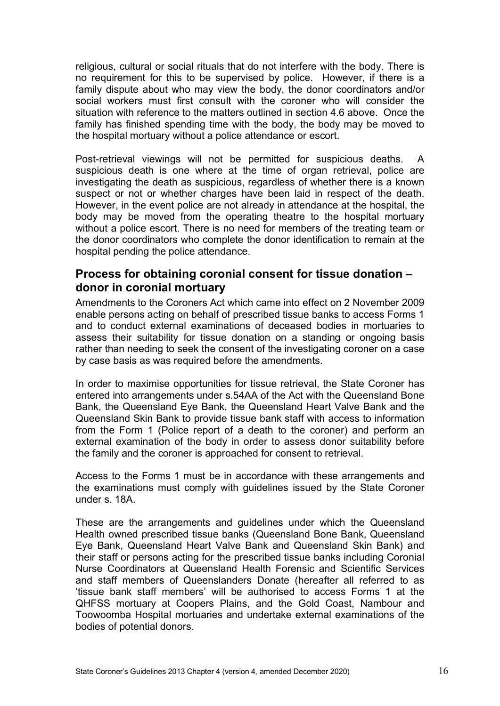religious, cultural or social rituals that do not interfere with the body. There is no requirement for this to be supervised by police. However, if there is a family dispute about who may view the body, the donor coordinators and/or social workers must first consult with the coroner who will consider the situation with reference to the matters outlined in section 4.6 above. Once the family has finished spending time with the body, the body may be moved to the hospital mortuary without a police attendance or escort.

Post-retrieval viewings will not be permitted for suspicious deaths. A suspicious death is one where at the time of organ retrieval, police are investigating the death as suspicious, regardless of whether there is a known suspect or not or whether charges have been laid in respect of the death. However, in the event police are not already in attendance at the hospital, the body may be moved from the operating theatre to the hospital mortuary without a police escort. There is no need for members of the treating team or the donor coordinators who complete the donor identification to remain at the hospital pending the police attendance.

## <span id="page-15-0"></span>**Process for obtaining coronial consent for tissue donation – donor in coronial mortuary**

Amendments to the Coroners Act which came into effect on 2 November 2009 enable persons acting on behalf of prescribed tissue banks to access Forms 1 and to conduct external examinations of deceased bodies in mortuaries to assess their suitability for tissue donation on a standing or ongoing basis rather than needing to seek the consent of the investigating coroner on a case by case basis as was required before the amendments.

In order to maximise opportunities for tissue retrieval, the State Coroner has entered into arrangements under s.54AA of the Act with the Queensland Bone Bank, the Queensland Eye Bank, the Queensland Heart Valve Bank and the Queensland Skin Bank to provide tissue bank staff with access to information from the Form 1 (Police report of a death to the coroner) and perform an external examination of the body in order to assess donor suitability before the family and the coroner is approached for consent to retrieval.

Access to the Forms 1 must be in accordance with these arrangements and the examinations must comply with guidelines issued by the State Coroner under s. 18A.

These are the arrangements and guidelines under which the Queensland Health owned prescribed tissue banks (Queensland Bone Bank, Queensland Eye Bank, Queensland Heart Valve Bank and Queensland Skin Bank) and their staff or persons acting for the prescribed tissue banks including Coronial Nurse Coordinators at Queensland Health Forensic and Scientific Services and staff members of Queenslanders Donate (hereafter all referred to as 'tissue bank staff members' will be authorised to access Forms 1 at the QHFSS mortuary at Coopers Plains, and the Gold Coast, Nambour and Toowoomba Hospital mortuaries and undertake external examinations of the bodies of potential donors.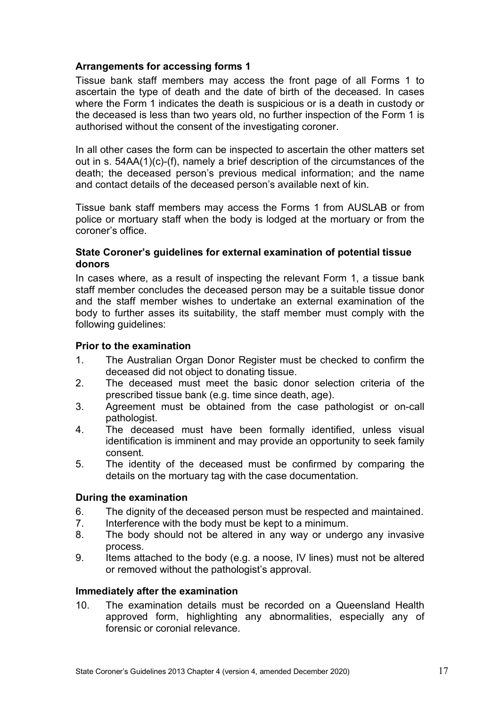### <span id="page-16-0"></span>**Arrangements for accessing forms 1**

Tissue bank staff members may access the front page of all Forms 1 to ascertain the type of death and the date of birth of the deceased. In cases where the Form 1 indicates the death is suspicious or is a death in custody or the deceased is less than two years old, no further inspection of the Form 1 is authorised without the consent of the investigating coroner.

In all other cases the form can be inspected to ascertain the other matters set out in s. 54AA(1)(c)-(f), namely a brief description of the circumstances of the death; the deceased person's previous medical information; and the name and contact details of the deceased person's available next of kin.

Tissue bank staff members may access the Forms 1 from AUSLAB or from police or mortuary staff when the body is lodged at the mortuary or from the coroner's office.

#### <span id="page-16-1"></span>**State Coroner's guidelines for external examination of potential tissue donors**

In cases where, as a result of inspecting the relevant Form 1, a tissue bank staff member concludes the deceased person may be a suitable tissue donor and the staff member wishes to undertake an external examination of the body to further asses its suitability, the staff member must comply with the following guidelines:

#### <span id="page-16-2"></span>**Prior to the examination**

- 1. The Australian Organ Donor Register must be checked to confirm the deceased did not object to donating tissue.
- 2. The deceased must meet the basic donor selection criteria of the prescribed tissue bank (e.g. time since death, age).
- 3. Agreement must be obtained from the case pathologist or on-call pathologist.
- 4. The deceased must have been formally identified, unless visual identification is imminent and may provide an opportunity to seek family consent.
- 5. The identity of the deceased must be confirmed by comparing the details on the mortuary tag with the case documentation.

#### <span id="page-16-3"></span>**During the examination**

- 6. The dignity of the deceased person must be respected and maintained.
- 7. Interference with the body must be kept to a minimum.
- 8. The body should not be altered in any way or undergo any invasive process.
- 9. Items attached to the body (e.g. a noose, IV lines) must not be altered or removed without the pathologist's approval.

#### <span id="page-16-4"></span>**Immediately after the examination**

10. The examination details must be recorded on a Queensland Health approved form, highlighting any abnormalities, especially any of forensic or coronial relevance.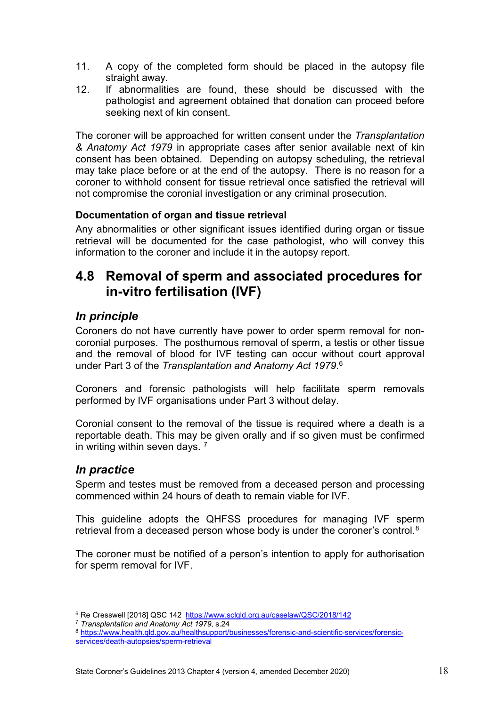- 11. A copy of the completed form should be placed in the autopsy file straight away.
- 12. If abnormalities are found, these should be discussed with the pathologist and agreement obtained that donation can proceed before seeking next of kin consent.

The coroner will be approached for written consent under the *Transplantation & Anatomy Act 1979* in appropriate cases after senior available next of kin consent has been obtained. Depending on autopsy scheduling, the retrieval may take place before or at the end of the autopsy. There is no reason for a coroner to withhold consent for tissue retrieval once satisfied the retrieval will not compromise the coronial investigation or any criminal prosecution.

### <span id="page-17-0"></span>**Documentation of organ and tissue retrieval**

Any abnormalities or other significant issues identified during organ or tissue retrieval will be documented for the case pathologist, who will convey this information to the coroner and include it in the autopsy report.

## <span id="page-17-1"></span>**4.8 Removal of sperm and associated procedures for in-vitro fertilisation (IVF)**

## <span id="page-17-2"></span>*In principle*

Coroners do not have currently have power to order sperm removal for noncoronial purposes. The posthumous removal of sperm, a testis or other tissue and the removal of blood for IVF testing can occur without court approval under Part 3 of the *Transplantation and Anatomy Act 1979*. [6](#page-17-4)

Coroners and forensic pathologists will help facilitate sperm removals performed by IVF organisations under Part 3 without delay.

Coronial consent to the removal of the tissue is required where a death is a reportable death. This may be given orally and if so given must be confirmed in writing within seven days.  $<sup>7</sup>$  $<sup>7</sup>$  $<sup>7</sup>$ </sup>

## <span id="page-17-3"></span>*In practice*

Sperm and testes must be removed from a deceased person and processing commenced within 24 hours of death to remain viable for IVF.

This guideline adopts the QHFSS procedures for managing IVF sperm retrieval from a deceased person whose body is under the coroner's control. $^8$  $^8$ 

The coroner must be notified of a person's intention to apply for authorisation for sperm removal for IVF.

<span id="page-17-4"></span><sup>&</sup>lt;sup>6</sup> Re Cresswell [2018] QSC 142 <https://www.sclqld.org.au/caselaw/QSC/2018/142>

<span id="page-17-5"></span><sup>7</sup> *Transplantation and Anatomy Act 1979*, s.24

<span id="page-17-6"></span><sup>8</sup> [https://www.health.qld.gov.au/healthsupport/businesses/forensic-and-scientific-services/forensic](https://www.health.qld.gov.au/healthsupport/businesses/forensic-and-scientific-services/forensic-services/death-autopsies/sperm-retrieval)[services/death-autopsies/sperm-retrieval](https://www.health.qld.gov.au/healthsupport/businesses/forensic-and-scientific-services/forensic-services/death-autopsies/sperm-retrieval)